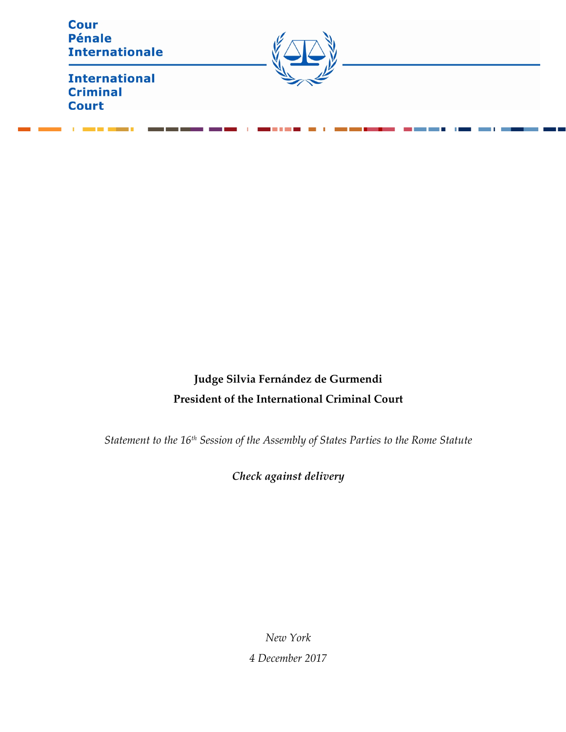| <b>Cour</b><br><b>Pénale</b><br><b>Internationale</b>   |  |
|---------------------------------------------------------|--|
| <b>International</b><br><b>Criminal</b><br><b>Court</b> |  |

# **Judge Silvia Fernández de Gurmendi President of the International Criminal Court**

*Statement to the 16th Session of the Assembly of States Parties to the Rome Statute* 

*Check against delivery*

*New York 4 December 2017*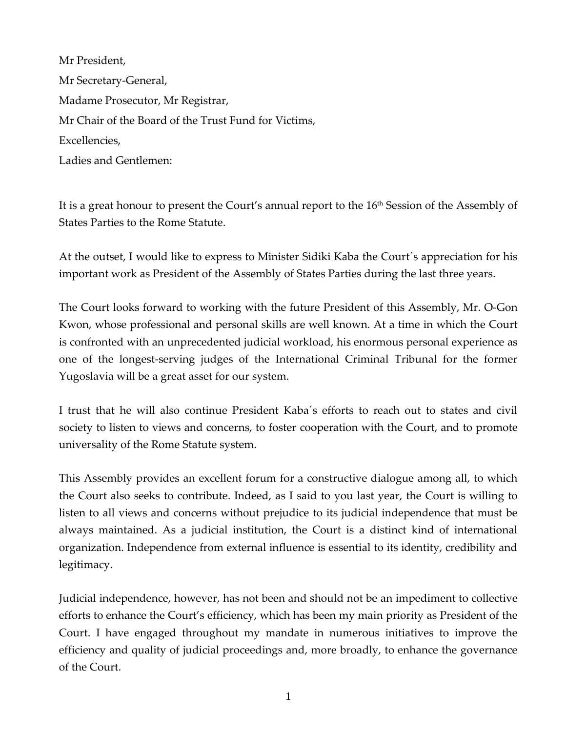Mr President, Mr Secretary-General, Madame Prosecutor, Mr Registrar, Mr Chair of the Board of the Trust Fund for Victims, Excellencies, Ladies and Gentlemen:

It is a great honour to present the Court's annual report to the 16<sup>th</sup> Session of the Assembly of States Parties to the Rome Statute.

At the outset, I would like to express to Minister Sidiki Kaba the Court´s appreciation for his important work as President of the Assembly of States Parties during the last three years.

The Court looks forward to working with the future President of this Assembly, Mr. O-Gon Kwon, whose professional and personal skills are well known. At a time in which the Court is confronted with an unprecedented judicial workload, his enormous personal experience as one of the longest-serving judges of the International Criminal Tribunal for the former Yugoslavia will be a great asset for our system.

I trust that he will also continue President Kaba´s efforts to reach out to states and civil society to listen to views and concerns, to foster cooperation with the Court, and to promote universality of the Rome Statute system.

This Assembly provides an excellent forum for a constructive dialogue among all, to which the Court also seeks to contribute. Indeed, as I said to you last year, the Court is willing to listen to all views and concerns without prejudice to its judicial independence that must be always maintained. As a judicial institution, the Court is a distinct kind of international organization. Independence from external influence is essential to its identity, credibility and legitimacy.

Judicial independence, however, has not been and should not be an impediment to collective efforts to enhance the Court's efficiency, which has been my main priority as President of the Court. I have engaged throughout my mandate in numerous initiatives to improve the efficiency and quality of judicial proceedings and, more broadly, to enhance the governance of the Court.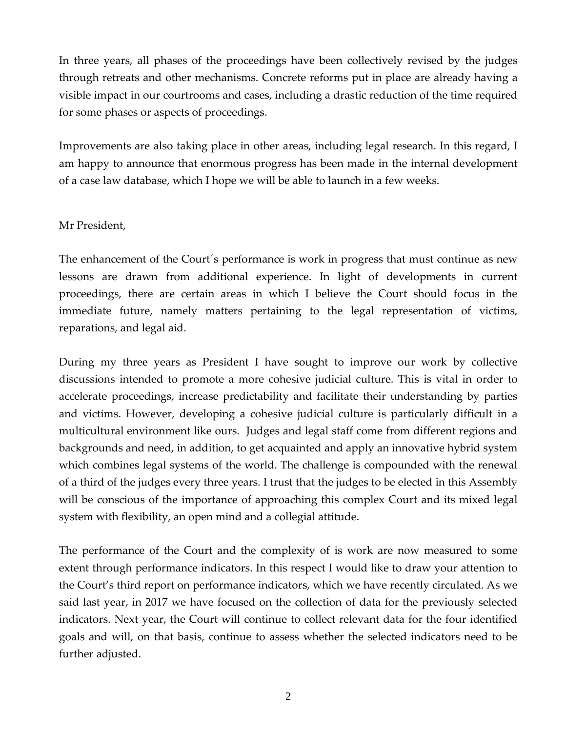In three years, all phases of the proceedings have been collectively revised by the judges through retreats and other mechanisms. Concrete reforms put in place are already having a visible impact in our courtrooms and cases, including a drastic reduction of the time required for some phases or aspects of proceedings.

Improvements are also taking place in other areas, including legal research. In this regard, I am happy to announce that enormous progress has been made in the internal development of a case law database, which I hope we will be able to launch in a few weeks.

#### Mr President,

The enhancement of the Court´s performance is work in progress that must continue as new lessons are drawn from additional experience. In light of developments in current proceedings, there are certain areas in which I believe the Court should focus in the immediate future, namely matters pertaining to the legal representation of victims, reparations, and legal aid.

During my three years as President I have sought to improve our work by collective discussions intended to promote a more cohesive judicial culture. This is vital in order to accelerate proceedings, increase predictability and facilitate their understanding by parties and victims. However, developing a cohesive judicial culture is particularly difficult in a multicultural environment like ours. Judges and legal staff come from different regions and backgrounds and need, in addition, to get acquainted and apply an innovative hybrid system which combines legal systems of the world. The challenge is compounded with the renewal of a third of the judges every three years. I trust that the judges to be elected in this Assembly will be conscious of the importance of approaching this complex Court and its mixed legal system with flexibility, an open mind and a collegial attitude.

The performance of the Court and the complexity of is work are now measured to some extent through performance indicators. In this respect I would like to draw your attention to the Court's third report on performance indicators, which we have recently circulated. As we said last year, in 2017 we have focused on the collection of data for the previously selected indicators. Next year, the Court will continue to collect relevant data for the four identified goals and will, on that basis, continue to assess whether the selected indicators need to be further adjusted.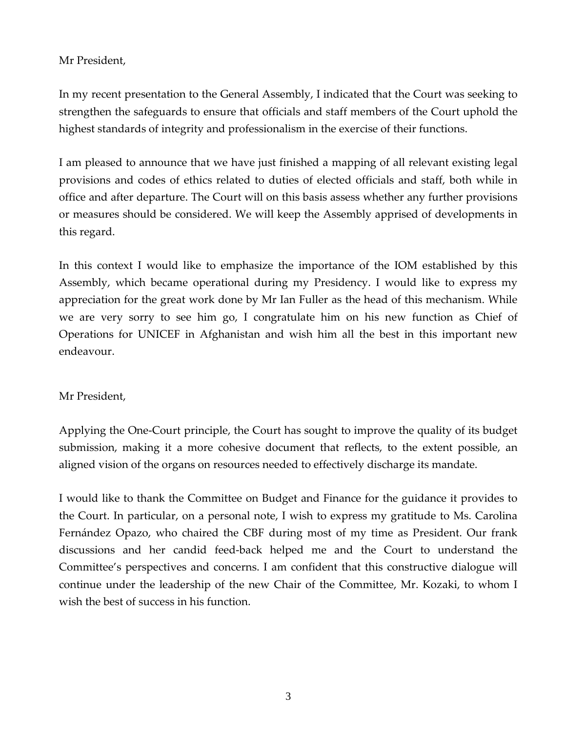## Mr President,

In my recent presentation to the General Assembly, I indicated that the Court was seeking to strengthen the safeguards to ensure that officials and staff members of the Court uphold the highest standards of integrity and professionalism in the exercise of their functions.

I am pleased to announce that we have just finished a mapping of all relevant existing legal provisions and codes of ethics related to duties of elected officials and staff, both while in office and after departure. The Court will on this basis assess whether any further provisions or measures should be considered. We will keep the Assembly apprised of developments in this regard.

In this context I would like to emphasize the importance of the IOM established by this Assembly, which became operational during my Presidency. I would like to express my appreciation for the great work done by Mr Ian Fuller as the head of this mechanism. While we are very sorry to see him go, I congratulate him on his new function as Chief of Operations for UNICEF in Afghanistan and wish him all the best in this important new endeavour.

#### Mr President,

Applying the One-Court principle, the Court has sought to improve the quality of its budget submission, making it a more cohesive document that reflects, to the extent possible, an aligned vision of the organs on resources needed to effectively discharge its mandate.

I would like to thank the Committee on Budget and Finance for the guidance it provides to the Court. In particular, on a personal note, I wish to express my gratitude to Ms. Carolina Fernández Opazo, who chaired the CBF during most of my time as President. Our frank discussions and her candid feed-back helped me and the Court to understand the Committee's perspectives and concerns. I am confident that this constructive dialogue will continue under the leadership of the new Chair of the Committee, Mr. Kozaki, to whom I wish the best of success in his function.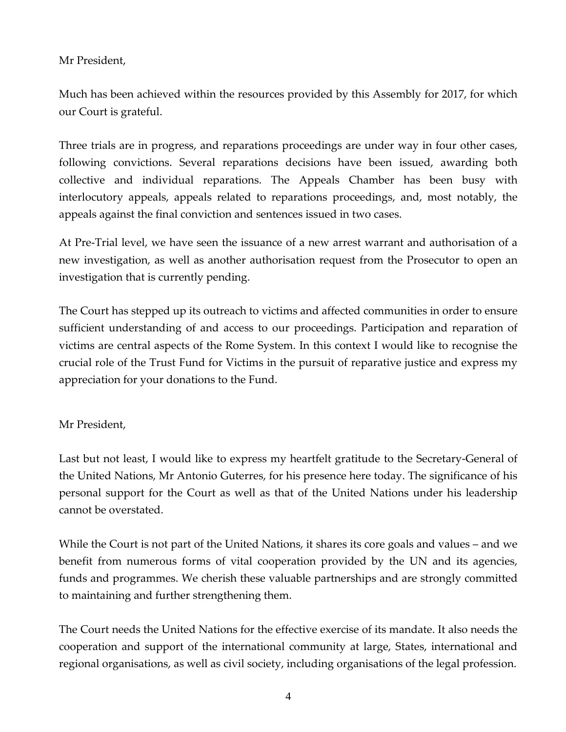### Mr President,

Much has been achieved within the resources provided by this Assembly for 2017, for which our Court is grateful.

Three trials are in progress, and reparations proceedings are under way in four other cases, following convictions. Several reparations decisions have been issued, awarding both collective and individual reparations. The Appeals Chamber has been busy with interlocutory appeals, appeals related to reparations proceedings, and, most notably, the appeals against the final conviction and sentences issued in two cases.

At Pre-Trial level, we have seen the issuance of a new arrest warrant and authorisation of a new investigation, as well as another authorisation request from the Prosecutor to open an investigation that is currently pending.

The Court has stepped up its outreach to victims and affected communities in order to ensure sufficient understanding of and access to our proceedings. Participation and reparation of victims are central aspects of the Rome System. In this context I would like to recognise the crucial role of the Trust Fund for Victims in the pursuit of reparative justice and express my appreciation for your donations to the Fund.

#### Mr President,

Last but not least, I would like to express my heartfelt gratitude to the Secretary-General of the United Nations, Mr Antonio Guterres, for his presence here today. The significance of his personal support for the Court as well as that of the United Nations under his leadership cannot be overstated.

While the Court is not part of the United Nations, it shares its core goals and values – and we benefit from numerous forms of vital cooperation provided by the UN and its agencies, funds and programmes. We cherish these valuable partnerships and are strongly committed to maintaining and further strengthening them.

The Court needs the United Nations for the effective exercise of its mandate. It also needs the cooperation and support of the international community at large, States, international and regional organisations, as well as civil society, including organisations of the legal profession.